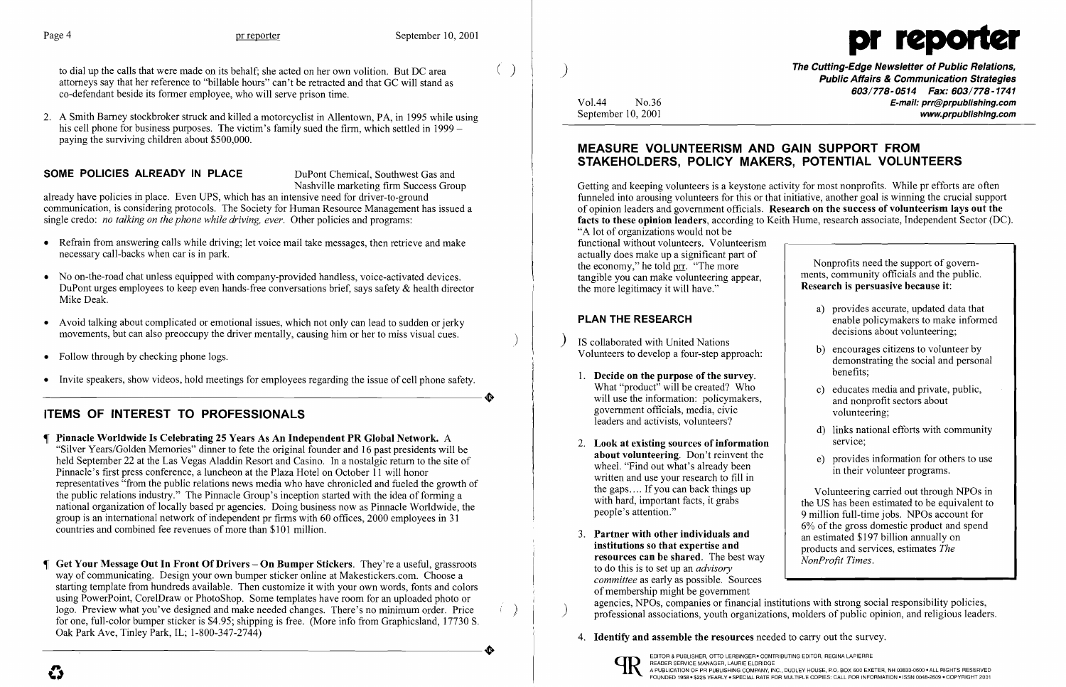to dial up the calls that were made on its behalf; she acted on her own volition. But DC area attorneys say that her reference to "billable hours" can't be retracted and that GC will stand as co-defendant beside its former employee, who will serve prison time.

2. A Smith Barney stockbroker struck and killed a motorcyclist in Allentown, PA, in 1995 while using his cell phone for business purposes. The victim's family sued the firm, which settled in 1999 – paying the surviving children about \$500,000.

## **SOME POLICIES ALREADY IN PLACE** DuPont Chemical, Southwest Gas and

already have policies in place. Even UPS, which has an intensive need for driver-to-ground communication, is considering protocols. The Society for Human Resource Management has issued a single credo: *no talking on the phone while driving, ever.* Other policies and programs:

- Refrain from answering calls while driving; let voice mail take messages, then retrieve and make necessary call-backs when car is in park.
- No on-the-road chat unless equipped with company-provided handless, voice-activated devices. DuPont urges employees to keep even hands-free conversations brief, says safety & health director Mike Deak.
- Avoid talking about complicated or emotional issues, which not only can lead to sudden or jerky movements, but can also preoccupy the driver mentally, causing him or her to miss visual cues.
- Follow through by checking phone logs.
- Invite speakers, show videos, hold meetings for employees regarding the issue of cell phone safety.

Nashville marketing firm Success Group

If Pinnacle Worldwide Is Celebrating 25 Years As An Independent PR Global Network. A "Silver Years/Golden Memories" dinner to fete the original founder and 16 past presidents will be held September 22 at the Las Vegas Aladdin Resort and Casino. In a nostalgic return to the site of Pinnacle's first press conference, a luncheon at the Plaza Hotel on October 11 will honor representatives "from the public relations news media who have chronicled and fueled the growth of the public relations industry." The Pinnacle Group's inception started with the idea of forming a national organization of locally based pr agencies. Doing business now as Pinnacle Worldwide, the group is an international network of independent pr firms with 60 offices, 2000 employees in 31 countries and combined fee revenues of more than \$101 million.

 $\P$  Get Your Message Out In Front Of Drivers – On Bumper Stickers. They're a useful, grassroots way of communicating. Design your own bumper sticker online at Makestickers.com. Choose a starting template from hundreds available. Then customize it with your own words, fonts and colors using PowerPoint, CorelDraw or PhotoShop. Some templates have room for an uploaded photo or logo. Preview what you've designed and make needed changes. There's no minimum order. Price for one, full-color bumper sticker is \$4.95; shipping is free. (More info from Graphicsland, 17730 S.

# ITEMS OF INTEREST TO PROFESSIONALS

# MEASURE VOLUNTEERISM AND GAIN SUPPORT FROM STAKEHOLDERS, POLICY MAKERS, POTENTIAL VOLUNTEERS

Getting and keeping volunteers is a keystone activity for most nonprofits. While pr efforts are often funneled into arousing volunteers for this or that initiative, another goal is winning the crucial support of opinion leaders and government officials. Research on the success of volunteerism lays out the facts to these opinion leaders, according to Keith Hume, research associate, Independent Sector (DC). "A lot of organizations would not be functional without volunteers. Volunteerism actually does make up a significant part of the economy," he told  $\text{prr}$ . "The more tangible you can make volunteering appear, the more legitimacy it will have." Nonprofits need the support of governments, community officials and the public. Research is persuasive because it:

### PLAN THE RESEARCH

 $\bullet$ 

- a) provides accurate, updated data that enable policymakers to make informed decisions about volunteering;
- b) encourages citizens to volunteer by demonstrating the social and personal
- c) educates media and private, public, and nonprofit sectors about volunteering;
- d) links national efforts with community
- e) provides information for others to use in their volunteer programs.

Volunteering carried out through NPOs in the US has been estimated to be equivalent to 9 million full-time jobs. NPOs account for 6% of the gross domestic product and spend an estimated \$197 billion annually on products and services, estimates *The Nonl'rofit Times.* 

) f

I

- IS collaborated with United Nations Volunteers to develop a four-step approach:
- 1. Decide on the purpose of the survey. benefits; What "product" will be created? Who will use the information: policymakers, government officials, media, civic leaders and activists, volunteers?
- 2. Look at existing sources of information service; about volunteering. Don't reinvent the wheel. "Find out what's already been written and use your research to fill in the gaps.... If you can back things up with hard, important facts, it grabs people's attention."
- 3. Partner with other individuals and institutions so that expertise and resources can be shared. The best way to do this is to set up an *advisory committee* as early as possible. Sources of membership might be government<br>agencies, NPOs, companies or financial institutions with strong social responsibility policies, agencies, NPOs, companies or financial institutions with strong social responsibility policies,<br>
professional associations, youth organizations, molders of public opinion, and religious leaders.
	- 4. **Identify and assemble the resources** needed to carry out the survey.



# Page 4 pr reporter September 10, 2001

 $\left(\begin{array}{c} \end{array}\right)$  ) and the Cutting-Edge Newsletter of Public Relations,  $\rho$  and  $\rho$  and  $\rho$  and  $\rho$  and  $\rho$  and  $\rho$  and  $\rho$  and  $\rho$  and  $\rho$  and  $\rho$  and  $\rho$  and  $\rho$  and  $\rho$  and  $\rho$  and  $\rho$  and  $\rho$  and  $\rho$ *603/778-0514 Fax: 603/778-1741*  Vol.44 No.36 **No.36** No.36 **E-mail: prr@prpublishing.com**<br>September 10, 2001 www.prpublishing.com